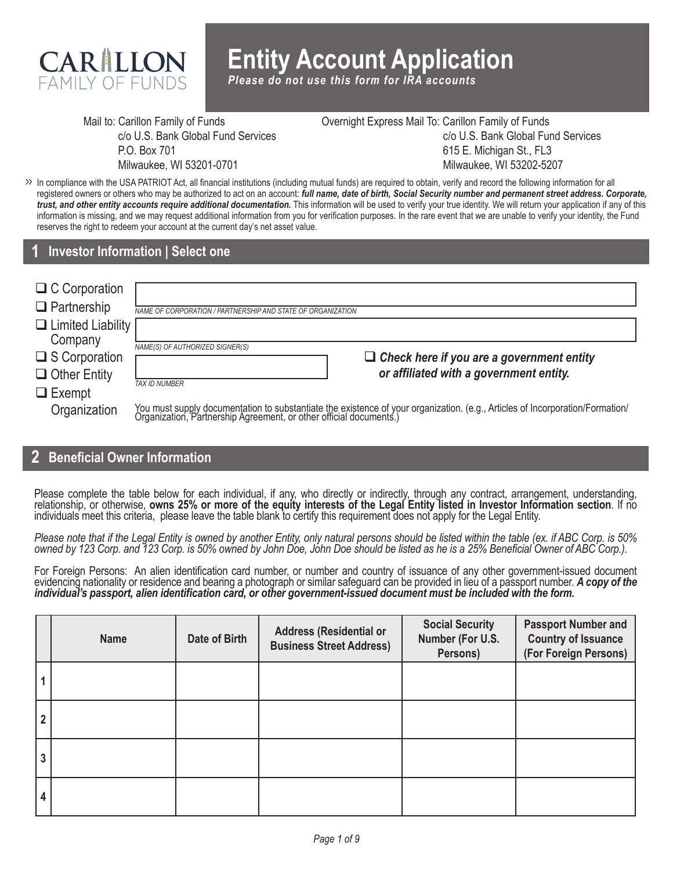

# **Entity Account Application**

*Please do not use this form for IRA accounts*

Mail to: Carillon Family of Funds c/o U.S. Bank Global Fund Services P.O. Box 701 Milwaukee, WI 53201-0701

Overnight Express Mail To: Carillon Family of Funds c/o U.S. Bank Global Fund Services 615 E. Michigan St., FL3 Milwaukee, WI 53202-5207

>> In compliance with the USA PATRIOT Act, all financial institutions (including mutual funds) are required to obtain, verify and record the following information for all registered owners or others who may be authorized to act on an account: *full name, date of birth, Social Security number and permanent street address. Corporate,* trust, and other entity accounts require additional documentation. This information will be used to verify your true identity. We will return your application if any of this information is missing, and we may request additional information from you for verification purposes. In the rare event that we are unable to verify your identity, the Fund reserves the right to redeem your account at the current day's net asset value.

#### **1 Investor Information | Select one**

| $\Box$ C Corporation            |                                                                                                                                                                                                     |
|---------------------------------|-----------------------------------------------------------------------------------------------------------------------------------------------------------------------------------------------------|
| $\Box$ Partnership              | NAME OF CORPORATION / PARTNERSHIP AND STATE OF ORGANIZATION                                                                                                                                         |
| $\Box$ Limited Liability $\Box$ |                                                                                                                                                                                                     |
| Company                         | NAME(S) OF AUTHORIZED SIGNER(S)                                                                                                                                                                     |
| $\square$ S Corporation         | $\Box$ Check here if you are a government entity                                                                                                                                                    |
| $\Box$ Other Entity             | or affiliated with a government entity.                                                                                                                                                             |
| $\Box$ Exempt                   | <b>TAX ID NUMBER</b>                                                                                                                                                                                |
| Organization                    | You must supply documentation to substantiate the existence of your organization. (e.g., Articles of Incorporation/Formation/<br>Organization, Partnership Agreement, or other official documents.) |

#### **2 Beneficial Owner Information**

Please complete the table below for each individual, if any, who directly or indirectly, through any contract, arrangement, understanding, relationship, or otherwise, **owns 25% or more of the equity interests of the Legal Entity listed in Investor Information section**. If no individuals meet this criteria, please leave the table blank to certify this requirement does not apply for the Legal Entity.

*Please note that if the Legal Entity is owned by another Entity, only natural persons should be listed within the table (ex. if ABC Corp. is 50% owned by 123 Corp. and 123 Corp. is 50% owned by John Doe, John Doe should be listed as he is a 25% Beneficial Owner of ABC Corp.).* 

For Foreign Persons: An alien identification card number, or number and country of issuance of any other government-issued document evidencing nationality or residence and bearing a photograph or similar safeguard can be provided in lieu of a passport number. A copy of the individual's passport, alien identification card, or other government-issued doc

|                | <b>Name</b> | Date of Birth | <b>Address (Residential or</b><br><b>Business Street Address)</b> | <b>Social Security</b><br>Number (For U.S.<br>Persons) | <b>Passport Number and</b><br><b>Country of Issuance</b><br>(For Foreign Persons) |
|----------------|-------------|---------------|-------------------------------------------------------------------|--------------------------------------------------------|-----------------------------------------------------------------------------------|
|                |             |               |                                                                   |                                                        |                                                                                   |
| $\overline{2}$ |             |               |                                                                   |                                                        |                                                                                   |
| 3              |             |               |                                                                   |                                                        |                                                                                   |
| 4              |             |               |                                                                   |                                                        |                                                                                   |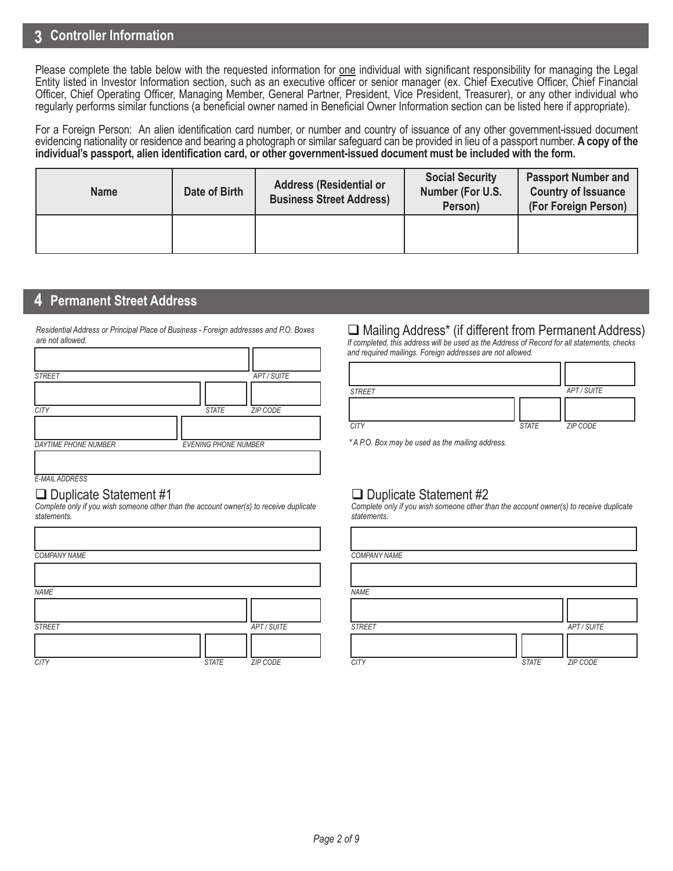## **3 Controller Information**

Please complete the table below with the requested information for one individual with significant responsibility for managing the Legal Entity listed in Investor Information section, such as an executive officer or senior manager (ex. Chief Executive Officer, Chief Financial Officer, Chief Operating Officer, Managing Member, General Partner, President, Vice President, Treasurer), or any other individual who regularly performs similar functions (a beneficial owner named in Beneficial Owner Information section can be listed here if appropriate).

For a Foreign Person: An alien identification card number, or number and country of issuance of any other government-issued document evidencing nationality or residence and bearing a photograph or similar safeguard can be provided in lieu of a passport number. **A copy of the individual's passport, alien identification card, or other government-issued document must be included with the form.** 

| <b>Name</b> | Date of Birth | <b>Address (Residential or</b><br><b>Business Street Address)</b> | <b>Social Security</b><br>Number (For U.S.<br>Person) | <b>Passport Number and</b><br><b>Country of Issuance</b><br>(For Foreign Person) |
|-------------|---------------|-------------------------------------------------------------------|-------------------------------------------------------|----------------------------------------------------------------------------------|
|             |               |                                                                   |                                                       |                                                                                  |

### **4 Permanent Street Address**

*Residential Address or Principal Place of Business - Foreign addresses and P.O. Boxes are not allowed.*

| <b>STREET</b>        |                             | APT/SUITE |
|----------------------|-----------------------------|-----------|
|                      |                             |           |
| <b>CITY</b>          | <b>STATE</b>                | ZIP CODE  |
|                      |                             |           |
| DAYTIME PHONE NUMBER | <b>EVENING PHONE NUMBER</b> |           |
|                      |                             |           |

*E-MAIL ADDRESS*

## $\Box$  Duplicate Statement #1

*Complete only if you wish someone other than the account owner(s) to receive duplicate statements.*

| <b>COMPANY NAME</b> |              |             | <b>COMPAI</b> |
|---------------------|--------------|-------------|---------------|
|                     |              |             |               |
| <b>NAME</b>         |              |             | <b>NAME</b>   |
|                     |              |             |               |
| <b>STREET</b>       |              | APT / SUITE | <b>STREET</b> |
|                     |              |             |               |
| <b>CITY</b>         | <b>STATE</b> | ZIP CODE    | <b>CITY</b>   |

## $\Box$  Mailing Address\* (if different from Permanent Address)

*If completed, this address will be used as the Address of Record for all statements, checks and required mailings. Foreign addresses are not allowed.*

| <b>STREET</b> |              | APT / SUITE |
|---------------|--------------|-------------|
|               |              |             |
| <b>CITY</b>   | <b>STATE</b> | ZIP CODE    |

*\* A P.O. Box may be used as the mailing address.*

## $\Box$  Duplicate Statement #2

*Complete only if you wish someone other than the account owner(s) to receive duplicate statements.*

*COMPANY NAME*

|              |             | <b>NAME</b>   |              |             |
|--------------|-------------|---------------|--------------|-------------|
|              |             |               |              |             |
|              | APT / SUITE | <b>STREET</b> |              | APT / SUITE |
|              |             |               |              |             |
| <b>STATE</b> | ZIP CODE    | <b>CITY</b>   | <b>STATE</b> | ZIP CODE    |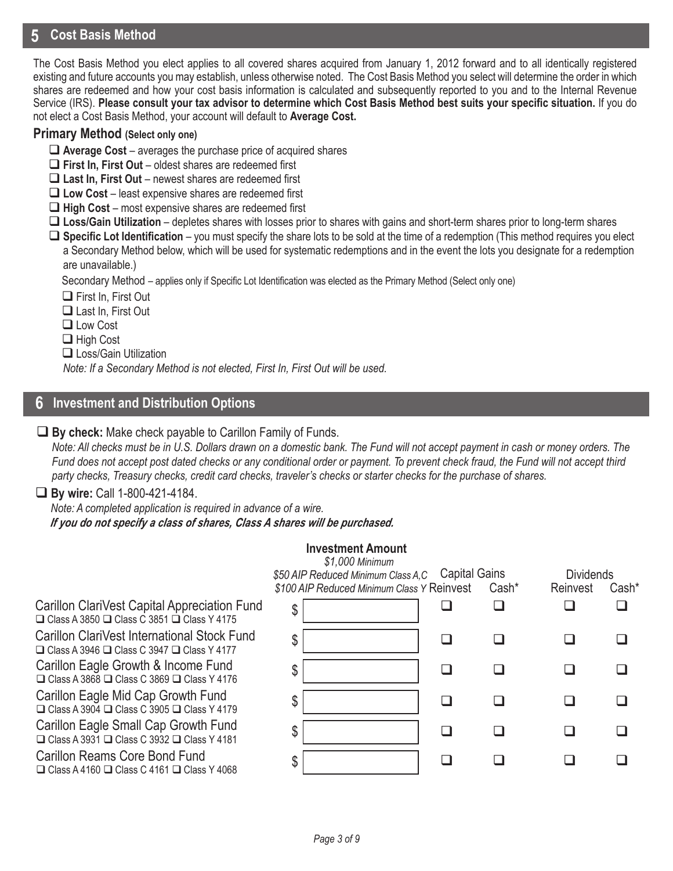## **5 Cost Basis Method**

The Cost Basis Method you elect applies to all covered shares acquired from January 1, 2012 forward and to all identically registered existing and future accounts you may establish, unless otherwise noted. The Cost Basis Method you select will determine the order in which shares are redeemed and how your cost basis information is calculated and subsequently reported to you and to the Internal Revenue Service (IRS). **Please consult your tax advisor to determine which Cost Basis Method best suits your specific situation.** If you do not elect a Cost Basis Method, your account will default to **Average Cost.**

#### **Primary Method (Select only one)**

- **Average Cost** averages the purchase price of acquired shares
- **First In, First Out** oldest shares are redeemed first
- **Last In, First Out** newest shares are redeemed first
- **Low Cost** least expensive shares are redeemed first
- **High Cost** most expensive shares are redeemed first
- **Loss/Gain Utilization**  depletes shares with losses prior to shares with gains and short-term shares prior to long-term shares
- **Specific Lot Identification** you must specify the share lots to be sold at the time of a redemption (This method requires you elect a Secondary Method below, which will be used for systematic redemptions and in the event the lots you designate for a redemption are unavailable.)

Secondary Method – applies only if Specific Lot Identification was elected as the Primary Method (Select only one)

□ First In, First Out

Last In, First Out

- □ Low Cost
- □ High Cost
- □ Loss/Gain Utilization

*Note: If a Secondary Method is not elected, First In, First Out will be used.*

#### **6 Investment and Distribution Options**

#### **By check:** Make check payable to Carillon Family of Funds.

 *Note: All checks must be in U.S. Dollars drawn on a domestic bank. The Fund will not accept payment in cash or money orders. The Fund does not accept post dated checks or any conditional order or payment. To prevent check fraud, the Fund will not accept third party checks, Treasury checks, credit card checks, traveler's checks or starter checks for the purchase of shares.*

#### ■ **By wire: Call 1-800-421-4184.**

*Note: A completed application is required in advance of a wire.*

*If you do not specify a class of shares, Class A shares will be purchased.*

#### **Investment Amount**  *\$1,000 Minimum*

Carillon ClariVest Capital Appreciation Fund  $\Box$  Class A 3850  $\Box$  Class C 3851  $\Box$  Class Y 4175 Carillon ClariVest International Stock Fund  $\Box$  Class A 3946  $\Box$  Class C 3947  $\Box$  Class Y 4177 Carillon Eagle Growth & Income Fund  $\Box$  Class A 3868  $\Box$  Class C 3869  $\Box$  Class Y 4176 Carillon Eagle Mid Cap Growth Fund  $\Box$  Class A 3904  $\Box$  Class C 3905  $\Box$  Class Y 4179 Carillon Eagle Small Cap Growth Fund  $\Box$  Class A 3931  $\Box$  Class C 3932  $\Box$  Class Y 4181 Carillon Reams Core Bond Fund  $\Box$  Class A 4160  $\Box$  Class C 4161  $\Box$  Class Y 4068

|  | <b>Dividends</b>                                                                                        |                   |
|--|---------------------------------------------------------------------------------------------------------|-------------------|
|  |                                                                                                         | Cash <sup>*</sup> |
|  |                                                                                                         |                   |
|  |                                                                                                         |                   |
|  |                                                                                                         |                   |
|  |                                                                                                         |                   |
|  |                                                                                                         |                   |
|  |                                                                                                         |                   |
|  | \$50 AIP Reduced Minimum Class A,C Capital Gains<br>Cash*<br>\$100 AIP Reduced Minimum Class Y Reinvest | Reinvest          |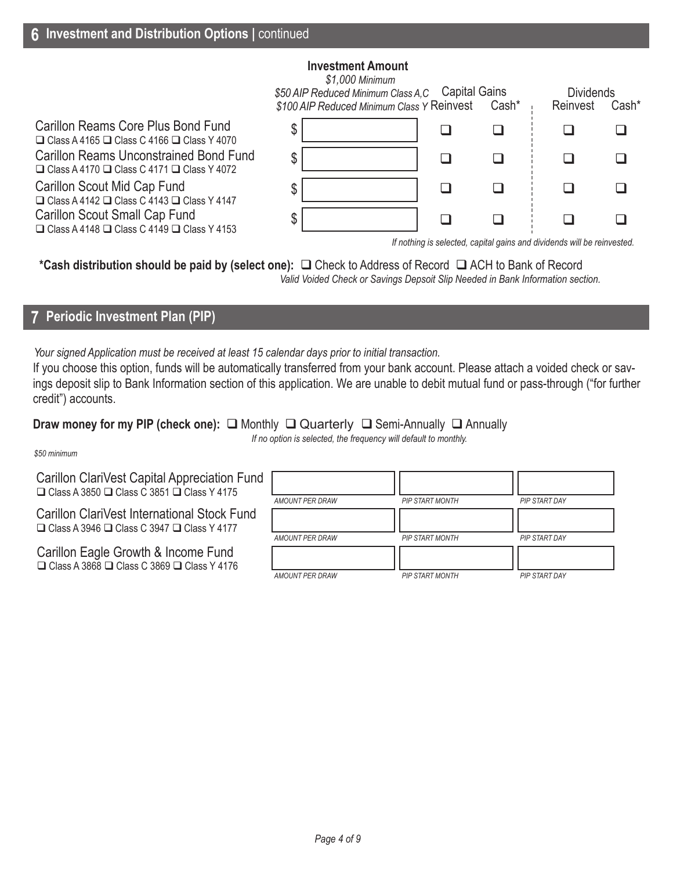#### **Investment Amount**



*If nothing is selected, capital gains and dividends will be reinvested.*

\*Cash distribution should be paid by (select one): **□** Check to Address of Record □ ACH to Bank of Record  *Valid Voided Check or Savings Depsoit Slip Needed in Bank Information section.*

### **7 Periodic Investment Plan (PIP)**

*Your signed Application must be received at least 15 calendar days prior to initial transaction.*

If you choose this option, funds will be automatically transferred from your bank account. Please attach a voided check or savings deposit slip to Bank Information section of this application. We are unable to debit mutual fund or pass-through ("for further credit") accounts.

#### **Draw money for my PIP (check one):** □ Monthly □ Quarterly □ Semi-Annually □ Annually

*If no option is selected, the frequency will default to monthly.*

*\$50 minimum*

Carillon ClariVest Capital Appreciation Fund  $\Box$  Class A 3850  $\Box$  Class C 3851  $\Box$  Class Y 4175

Carillon ClariVest International Stock Fund  $\Box$  Class A 3946  $\Box$  Class C 3947  $\Box$  Class Y 4177

Carillon Eagle Growth & Income Fund  $\Box$  Class A 3868  $\Box$  Class C 3869  $\Box$  Class Y 4176

| AMOUNT PER DRAW | <b>PIP START MONTH</b> | PIP START DAY        |
|-----------------|------------------------|----------------------|
|                 |                        |                      |
| AMOUNT PER DRAW | <b>PIP START MONTH</b> | PIP START DAY        |
|                 |                        |                      |
| AMOUNT PER DRAW | <b>PIP START MONTH</b> | <b>PIP START DAY</b> |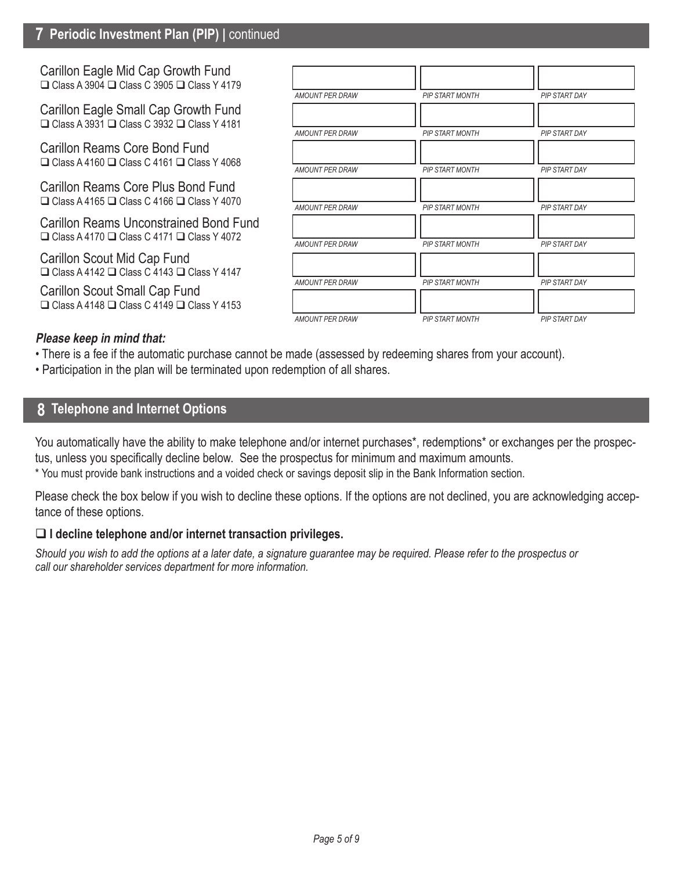Carillon Eagle Mid Cap Growth Fund  $\Box$  Class A 3904  $\Box$  Class C 3905  $\Box$  Class Y 4179

Carillon Eagle Small Cap Growth Fund  $\Box$  Class A 3931  $\Box$  Class C 3932  $\Box$  Class Y 4181

Carillon Reams Core Bond Fund  $\Box$  Class A 4160  $\Box$  Class C 4161  $\Box$  Class Y 4068

Carillon Reams Core Plus Bond Fund  $\Box$  Class A 4165  $\Box$  Class C 4166  $\Box$  Class Y 4070

Carillon Reams Unconstrained Bond Fund  $\Box$  Class A 4170  $\Box$  Class C 4171  $\Box$  Class Y 4072

Carillon Scout Mid Cap Fund  $\Box$  Class A 4142  $\Box$  Class C 4143  $\Box$  Class Y 4147

Carillon Scout Small Cap Fund  $\Box$  Class A 4148  $\Box$  Class C 4149  $\Box$  Class Y 4153

| AMOUNT PER DRAW        | <b>PIP START MONTH</b> | PIP START DAY |
|------------------------|------------------------|---------------|
| AMOUNT PER DRAW        | <b>PIP START MONTH</b> | PIP START DAY |
| <b>AMOUNT PER DRAW</b> | <b>PIP START MONTH</b> | PIP START DAY |
| <b>AMOUNT PER DRAW</b> | <b>PIP START MONTH</b> | PIP START DAY |
| AMOUNT PER DRAW        | <b>PIP START MONTH</b> | PIP START DAY |
| AMOUNT PER DRAW        | <b>PIP START MONTH</b> | PIP START DAY |
| <b>AMOUNT PER DRAW</b> | <b>PIP START MONTH</b> | PIP START DAY |

#### **Please keep in mind that:**

- There is a fee if the automatic purchase cannot be made (assessed by redeeming shares from your account).
- Participation in the plan will be terminated upon redemption of all shares.

### **8 Telephone and Internet Options**

You automatically have the ability to make telephone and/or internet purchases\*, redemptions\* or exchanges per the prospectus, unless you specifically decline below. See the prospectus for minimum and maximum amounts. \* You must provide bank instructions and a voided check or savings deposit slip in the Bank Information section.

Please check the box below if you wish to decline these options. If the options are not declined, you are acknowledging acceptance of these options.

#### **I decline telephone and/or internet transaction privileges.**

*Should you wish to add the options at a later date, a signature guarantee may be required. Please refer to the prospectus or call our shareholder services department for more information.*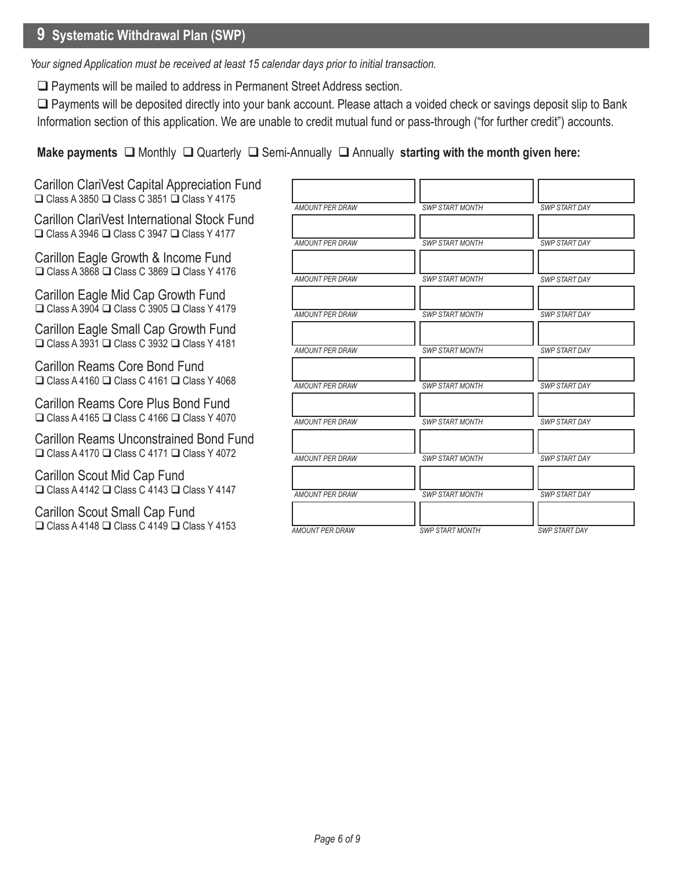## **9 Systematic Withdrawal Plan (SWP)**

*Your signed Application must be received at least 15 calendar days prior to initial transaction.*

□ Payments will be mailed to address in Permanent Street Address section.

□ Payments will be deposited directly into your bank account. Please attach a voided check or savings deposit slip to Bank Information section of this application. We are unable to credit mutual fund or pass-through ("for further credit") accounts.

**Make payments □** Monthly □ Quarterly □ Semi-Annually □ Annually starting with the month given here:

Carillon ClariVest Capital Appreciation Fund  $\Box$  Class A 3850  $\Box$  Class C 3851  $\Box$  Class Y 4175

Carillon ClariVest International Stock Fund  $\Box$  Class A 3946  $\Box$  Class C 3947  $\Box$  Class Y 4177

Carillon Eagle Growth & Income Fund  $\Box$  Class A 3868  $\Box$  Class C 3869  $\Box$  Class Y 4176

Carillon Eagle Mid Cap Growth Fund  $\Box$  Class A 3904  $\Box$  Class C 3905  $\Box$  Class Y 4179

Carillon Eagle Small Cap Growth Fund  $\Box$  Class A 3931  $\Box$  Class C 3932  $\Box$  Class Y 4181

Carillon Reams Core Bond Fund  $\Box$  Class A 4160  $\Box$  Class C 4161  $\Box$  Class Y 4068

Carillon Reams Core Plus Bond Fund  $\Box$  Class A 4165  $\Box$  Class C 4166  $\Box$  Class Y 4070

Carillon Reams Unconstrained Bond Fund  $\Box$  Class A 4170  $\Box$  Class C 4171  $\Box$  Class Y 4072

Carillon Scout Mid Cap Fund  $\Box$  Class A 4142  $\Box$  Class C 4143  $\Box$  Class Y 4147

Carillon Scout Small Cap Fund  $\Box$  Class A 4148  $\Box$  Class C 4149  $\Box$  Class Y 4153

| <b>AMOUNT PER DRAW</b> | <b>SWP START MONTH</b> | <b>SWP START DAY</b> |
|------------------------|------------------------|----------------------|
| <b>AMOUNT PER DRAW</b> | <b>SWP START MONTH</b> | <b>SWP START DAY</b> |
| AMOUNT PER DRAW        | <b>SWP START MONTH</b> | <b>SWP START DAY</b> |
| <b>AMOUNT PER DRAW</b> | <b>SWP START MONTH</b> | <b>SWP START DAY</b> |
| <b>AMOUNT PER DRAW</b> | <b>SWP START MONTH</b> | <b>SWP START DAY</b> |
| <b>AMOUNT PER DRAW</b> | <b>SWP START MONTH</b> | <b>SWP START DAY</b> |
| <b>AMOUNT PER DRAW</b> | <b>SWP START MONTH</b> | <b>SWP START DAY</b> |
| <b>AMOUNT PER DRAW</b> | <b>SWP START MONTH</b> | <b>SWP START DAY</b> |
| <b>AMOUNT PER DRAW</b> | <b>SWP START MONTH</b> | <b>SWP START DAY</b> |
| <b>AMOUNT PER DRAW</b> | <b>SWP START MONTH</b> | <b>SWP START DAY</b> |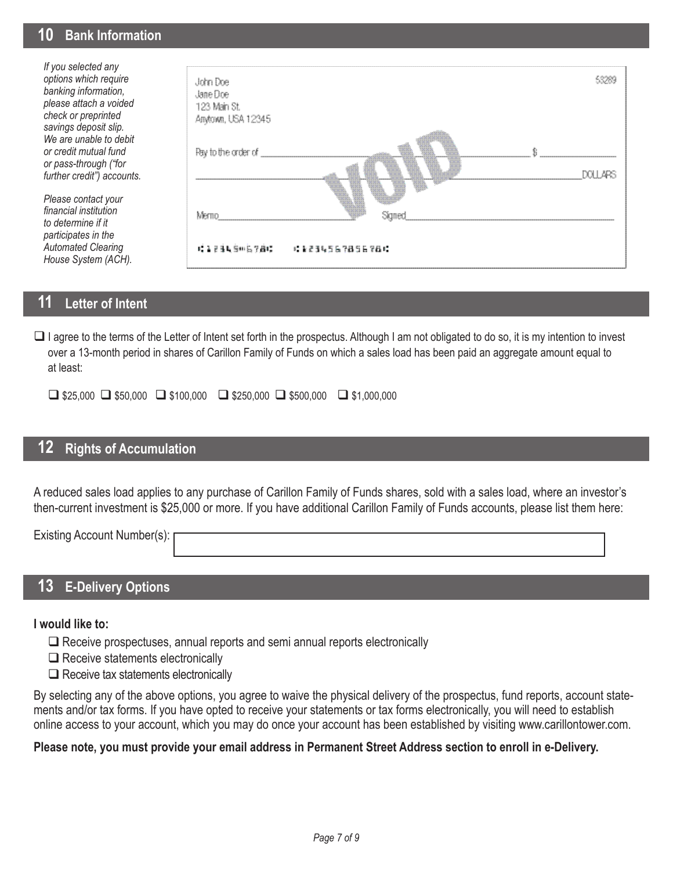### **10 Bank Information**

*If you selected any options which require banking information, please attach a voided check or preprinted savings deposit slip. We are unable to debit or credit mutual fund or pass-through ("for further credit") accounts.* 

*Please contact your financial institution to determine if it participates in the Automated Clearing House System (ACH).*



## **11 Letter of Intent**

 $\Box$  I agree to the terms of the Letter of Intent set forth in the prospectus. Although I am not obligated to do so, it is my intention to invest over a 13-month period in shares of Carillon Family of Funds on which a sales load has been paid an aggregate amount equal to at least:

|  |  | $\Box$ \$25,000 $\Box$ \$50,000 $\Box$ \$100,000 $\Box$ \$250,000 $\Box$ \$500,000 $\Box$ \$1,000,000 |  |
|--|--|-------------------------------------------------------------------------------------------------------|--|
|--|--|-------------------------------------------------------------------------------------------------------|--|

## **12 Rights of Accumulation**

A reduced sales load applies to any purchase of Carillon Family of Funds shares, sold with a sales load, where an investor's then-current investment is \$25,000 or more. If you have additional Carillon Family of Funds accounts, please list them here:

Existing Account Number(s):

## **13 E-Delivery Options**

#### **I would like to:**

- $\Box$  Receive prospectuses, annual reports and semi annual reports electronically
- $\Box$  Receive statements electronically
- $\Box$  Receive tax statements electronically

By selecting any of the above options, you agree to waive the physical delivery of the prospectus, fund reports, account statements and/or tax forms. If you have opted to receive your statements or tax forms electronically, you will need to establish online access to your account, which you may do once your account has been established by visiting www.carillontower.com.

#### **Please note, you must provide your email address in Permanent Street Address section to enroll in e-Delivery.**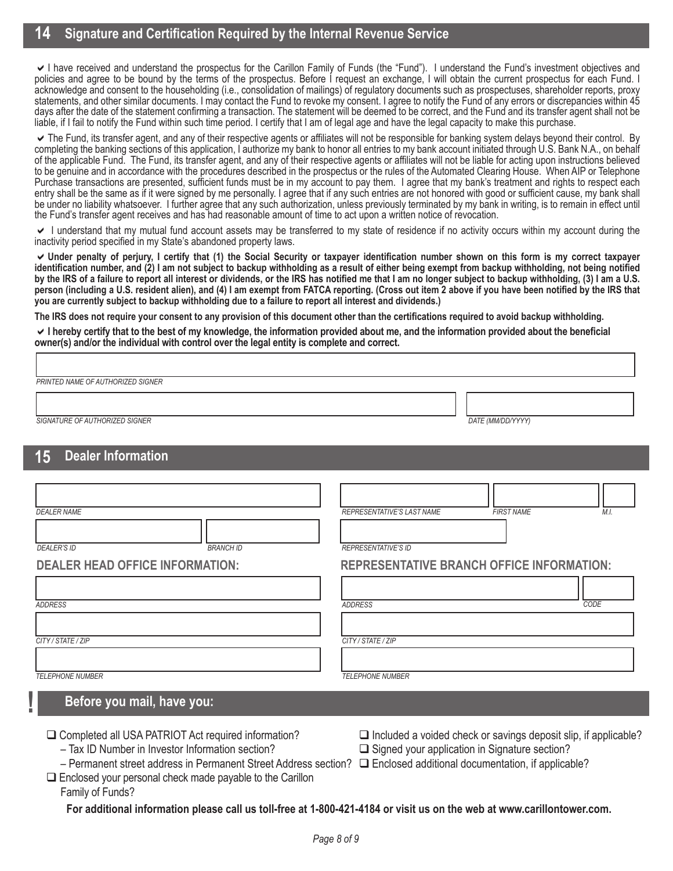I have received and understand the prospectus for the Carillon Family of Funds (the "Fund"). I understand the Fund's investment objectives and policies and agree to be bound by the terms of the prospectus. Before I request an exchange, I will obtain the current prospectus for each Fund. I acknowledge and consent to the householding (i.e., consolidation of mailings) of regulatory documents such as prospectuses, shareholder reports, proxy statements, and other similar documents. I may contact the Fund to revoke my consent. I agree to notify the Fund of any errors or discrepancies within 45 days after the date of the statement confirming a transaction. The statement will be deemed to be correct, and the Fund and its transfer agent shall not be liable, if I fail to notify the Fund within such time period. I certify that I am of legal age and have the legal capacity to make this purchase.

The Fund, its transfer agent, and any of their respective agents or affiliates will not be responsible for banking system delays beyond their control. By completing the banking sections of this application, I authorize my bank to honor all entries to my bank account initiated through U.S. Bank N.A., on behalf of the applicable Fund. The Fund, its transfer agent, and any of their respective agents or affiliates will not be liable for acting upon instructions believed to be genuine and in accordance with the procedures described in the prospectus or the rules of the Automated Clearing House. When AIP or Telephone Purchase transactions are presented, sufficient funds must be in my account to pay them. I agree that my bank's treatment and rights to respect each entry shall be the same as if it were signed by me personally. I agree that if any such entries are not honored with good or sufficient cause, my bank shall be under no liability whatsoever. I further agree that any such authorization, unless previously terminated by my bank in writing, is to remain in effect until the Fund's transfer agent receives and has had reasonable amount of time to act upon a written notice of revocation.

 I understand that my mutual fund account assets may be transferred to my state of residence if no activity occurs within my account during the inactivity period specified in my State's abandoned property laws.

**Under penalty of perjury, I certify that (1) the Social Security or taxpayer identification number shown on this form is my correct taxpayer identification number, and (2) I am not subject to backup withholding as a result of either being exempt from backup withholding, not being notified by the IRS of a failure to report all interest or dividends, or the IRS has notified me that I am no longer subject to backup withholding, (3) I am a U.S. person (including a U.S. resident alien), and (4) I am exempt from FATCA reporting. (Cross out item 2 above if you have been notified by the IRS that you are currently subject to backup withholding due to a failure to report all interest and dividends.)**

**The IRS does not require your consent to any provision of this document other than the certifications required to avoid backup withholding.**

**I hereby certify that to the best of my knowledge, the information provided about me, and the information provided about the beneficial owner(s) and/or the individual with control over the legal entity is complete and correct.** 

| PRINTED NAME OF AUTHORIZED SIGNER |                   |
|-----------------------------------|-------------------|
|                                   |                   |
|                                   |                   |
| SIGNATURE OF AUTHORIZED SIGNER    | DATE (MM/DD/YYYY) |

## **15 Dealer Information**

| <b>DEALER NAME</b>                     |                  | REPRESENTATIVE'S LAST NAME<br><b>FIRST NAME</b><br>M.I. |
|----------------------------------------|------------------|---------------------------------------------------------|
| <b>DEALER'S ID</b>                     | <b>BRANCH ID</b> | <b>REPRESENTATIVE'S ID</b>                              |
| <b>DEALER HEAD OFFICE INFORMATION:</b> |                  | <b>REPRESENTATIVE BRANCH OFFICE INFORMATION:</b>        |
|                                        |                  |                                                         |
| ADDRESS                                |                  | <b>CODE</b><br>ADDRESS                                  |
|                                        |                  |                                                         |
| CITY / STATE / ZIP                     |                  | CITY / STATE / ZIP                                      |
| <b>TELEPHONE NUMBER</b>                |                  | <b>TELEPHONE NUMBER</b>                                 |
| Before you mail, have you:             |                  |                                                         |

□ Completed all USA PATRIOT Act required information?

- Tax ID Number in Investor Information section?
- Permanent street address in Permanent Street Address section? Enclosed additional documentation, if applicable?
- $\Box$  Enclosed your personal check made payable to the Carillon

Family of Funds?

- $\Box$  Included a voided check or savings deposit slip, if applicable?
- $\square$  Signed your application in Signature section?

**For additional information please call us toll-free at 1-800-421-4184 or visit us on the web at www.carillontower.com.**